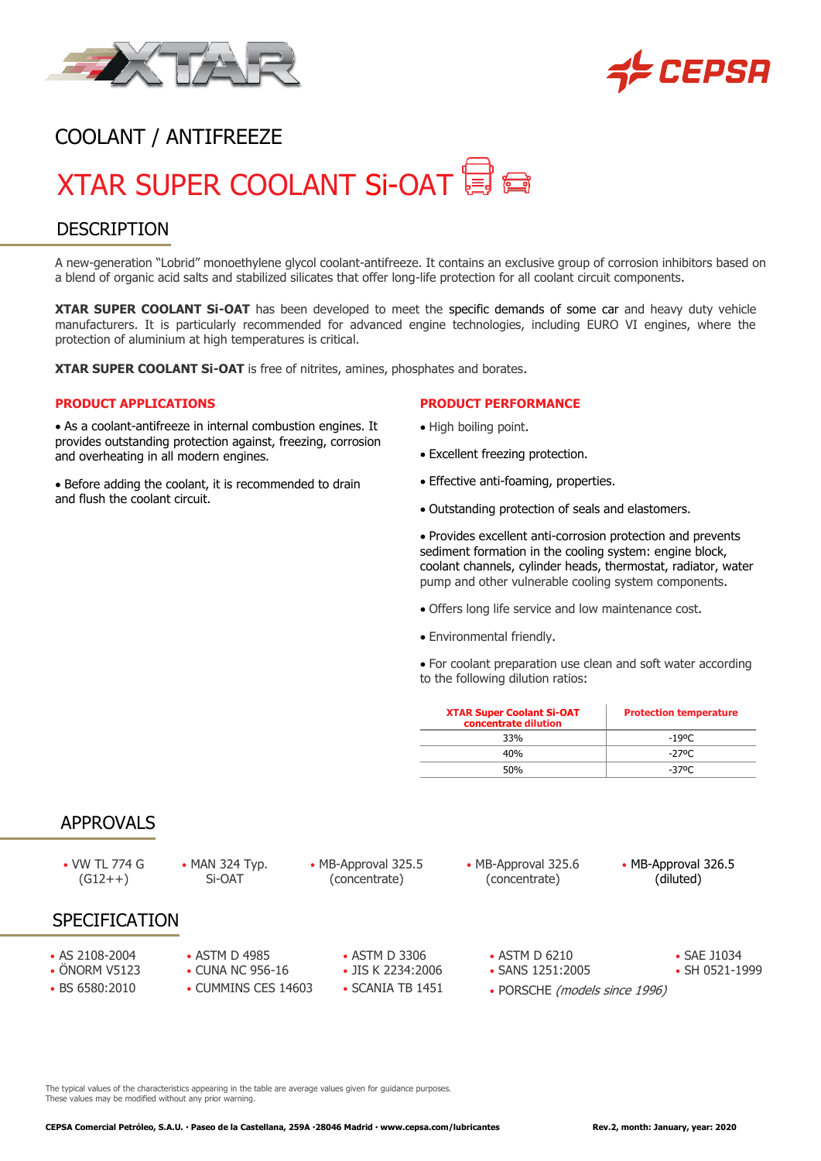



# COOLANT / ANTIFREEZE

# XTAR SUPER COOLANT Si-OAT 目目

## **DESCRIPTION**

A new-generation "Lobrid" monoethylene glycol coolant-antifreeze. It contains an exclusive group of corrosion inhibitors based on a blend of organic acid salts and stabilized silicates that offer long-life protection for all coolant circuit components.

**XTAR SUPER COOLANT Si-OAT** has been developed to meet the specific demands of some car and heavy duty vehicle manufacturers. It is particularly recommended for advanced engine technologies, including EURO VI engines, where the protection of aluminium at high temperatures is critical.

**XTAR SUPER COOLANT Si-OAT** is free of nitrites, amines, phosphates and borates.

#### **PRODUCT APPLICATIONS**

• As a coolant-antifreeze in internal combustion engines. It provides outstanding protection against, freezing, corrosion and overheating in all modern engines.

• Before adding the coolant, it is recommended to drain and flush the coolant circuit.

#### **PRODUCT PERFORMANCE**

- High boiling point.
- Excellent freezing protection.
- Effective anti-foaming, properties.
- Outstanding protection of seals and elastomers.

• Provides excellent anti-corrosion protection and prevents sediment formation in the cooling system: engine block, coolant channels, cylinder heads, thermostat, radiator, water pump and other vulnerable cooling system components.

- Offers long life service and low maintenance cost.
- Environmental friendly.

• For coolant preparation use clean and soft water according to the following dilution ratios:

| <b>XTAR Super Coolant Si-OAT</b><br>concentrate dilution | <b>Protection temperature</b> |
|----------------------------------------------------------|-------------------------------|
| 33%                                                      | -19ºC                         |
| 40%                                                      | -270 $\Gamma$                 |
| 50%                                                      | -3700                         |

#### APPROVALS

- VW TL 774 G  $(G12++)$
- MAN 324 Typ. Si-OAT
- MB-Approval 325.5 (concentrate)
- MB-Approval 325.6 (concentrate)

• MB-Approval 326.5 (diluted)

# **SPECIFICATION**

- AS 2108-2004 ASTM D 4985 ASTM D 3306 ASTM D 6210 SAE J1034
- 
- 
- ÖNORM V5123 CUNA NC 956-16 JIS K 2234:2006 SANS 1251:2005 SH 0521-1999
	-
- 
- -
- 
- 
- 
- BS 6580:2010 CUMMINS CES 14603 SCANIA TB 1451 PORSCHE (models since 1996)
- The typical values of the characteristics appearing in the table are average values given for guidance purposes. These values may be modified without any prior warning.